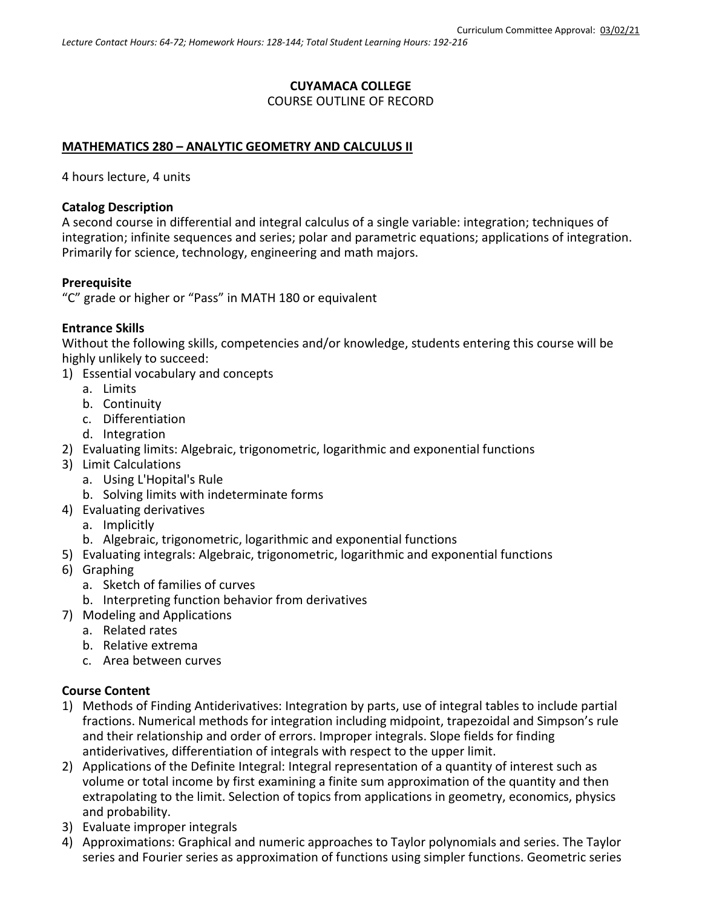# **CUYAMACA COLLEGE** COURSE OUTLINE OF RECORD

## **MATHEMATICS 280 – ANALYTIC GEOMETRY AND CALCULUS II**

4 hours lecture, 4 units

#### **Catalog Description**

A second course in differential and integral calculus of a single variable: integration; techniques of integration; infinite sequences and series; polar and parametric equations; applications of integration. Primarily for science, technology, engineering and math majors.

#### **Prerequisite**

"C" grade or higher or "Pass" in MATH 180 or equivalent

#### **Entrance Skills**

Without the following skills, competencies and/or knowledge, students entering this course will be highly unlikely to succeed:

- 1) Essential vocabulary and concepts
	- a. Limits
	- b. Continuity
	- c. Differentiation
	- d. Integration
- 2) Evaluating limits: Algebraic, trigonometric, logarithmic and exponential functions
- 3) Limit Calculations
	- a. Using L'Hopital's Rule
	- b. Solving limits with indeterminate forms
- 4) Evaluating derivatives
	- a. Implicitly
	- b. Algebraic, trigonometric, logarithmic and exponential functions
- 5) Evaluating integrals: Algebraic, trigonometric, logarithmic and exponential functions
- 6) Graphing
	- a. Sketch of families of curves
	- b. Interpreting function behavior from derivatives
- 7) Modeling and Applications
	- a. Related rates
	- b. Relative extrema
	- c. Area between curves

## **Course Content**

- 1) Methods of Finding Antiderivatives: Integration by parts, use of integral tables to include partial fractions. Numerical methods for integration including midpoint, trapezoidal and Simpson's rule and their relationship and order of errors. Improper integrals. Slope fields for finding antiderivatives, differentiation of integrals with respect to the upper limit.
- 2) Applications of the Definite Integral: Integral representation of a quantity of interest such as volume or total income by first examining a finite sum approximation of the quantity and then extrapolating to the limit. Selection of topics from applications in geometry, economics, physics and probability.
- 3) Evaluate improper integrals
- 4) Approximations: Graphical and numeric approaches to Taylor polynomials and series. The Taylor series and Fourier series as approximation of functions using simpler functions. Geometric series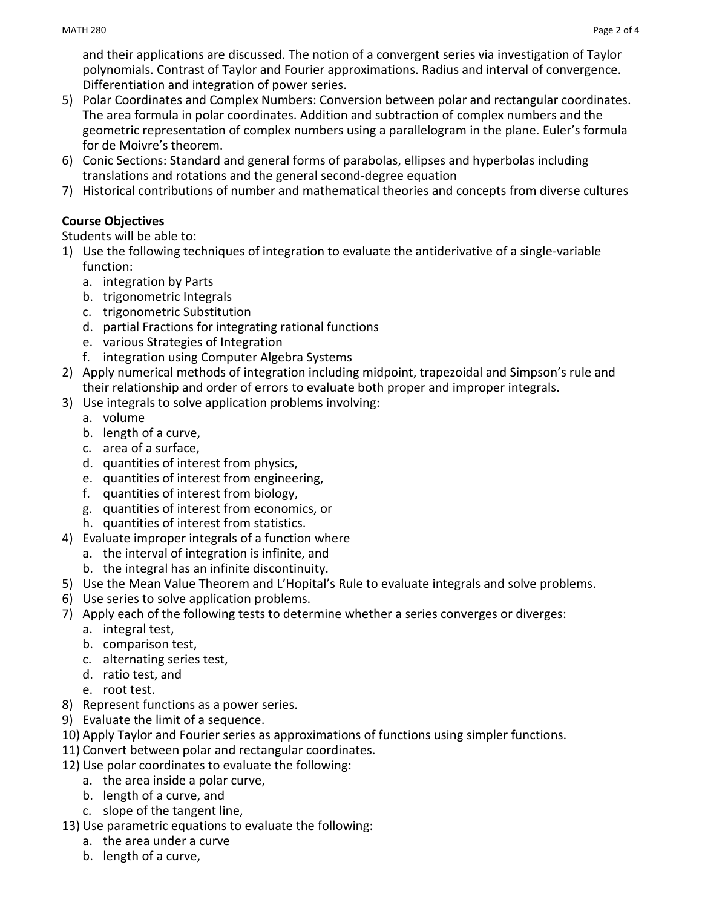- 5) Polar Coordinates and Complex Numbers: Conversion between polar and rectangular coordinates. The area formula in polar coordinates. Addition and subtraction of complex numbers and the geometric representation of complex numbers using a parallelogram in the plane. Euler's formula for de Moivre's theorem.
- 6) Conic Sections: Standard and general forms of parabolas, ellipses and hyperbolas including translations and rotations and the general second-degree equation
- 7) Historical contributions of number and mathematical theories and concepts from diverse cultures

# **Course Objectives**

Students will be able to:

- 1) Use the following techniques of integration to evaluate the antiderivative of a single-variable function:
	- a. integration by Parts
	- b. trigonometric Integrals
	- c. trigonometric Substitution
	- d. partial Fractions for integrating rational functions
	- e. various Strategies of Integration
	- f. integration using Computer Algebra Systems
- 2) Apply numerical methods of integration including midpoint, trapezoidal and Simpson's rule and their relationship and order of errors to evaluate both proper and improper integrals.
- 3) Use integrals to solve application problems involving:
	- a. volume
	- b. length of a curve,
	- c. area of a surface,
	- d. quantities of interest from physics,
	- e. quantities of interest from engineering,
	- f. quantities of interest from biology,
	- g. quantities of interest from economics, or
	- h. quantities of interest from statistics.
- 4) Evaluate improper integrals of a function where
	- a. the interval of integration is infinite, and
	- b. the integral has an infinite discontinuity.
- 5) Use the Mean Value Theorem and L'Hopital's Rule to evaluate integrals and solve problems.
- 6) Use series to solve application problems.
- 7) Apply each of the following tests to determine whether a series converges or diverges:
	- a. integral test,
	- b. comparison test,
	- c. alternating series test,
	- d. ratio test, and
	- e. root test.
- 8) Represent functions as a power series.
- 9) Evaluate the limit of a sequence.
- 10) Apply Taylor and Fourier series as approximations of functions using simpler functions.
- 11) Convert between polar and rectangular coordinates.
- 12) Use polar coordinates to evaluate the following:
	- a. the area inside a polar curve,
	- b. length of a curve, and
	- c. slope of the tangent line,
- 13) Use parametric equations to evaluate the following:
	- a. the area under a curve
	- b. length of a curve,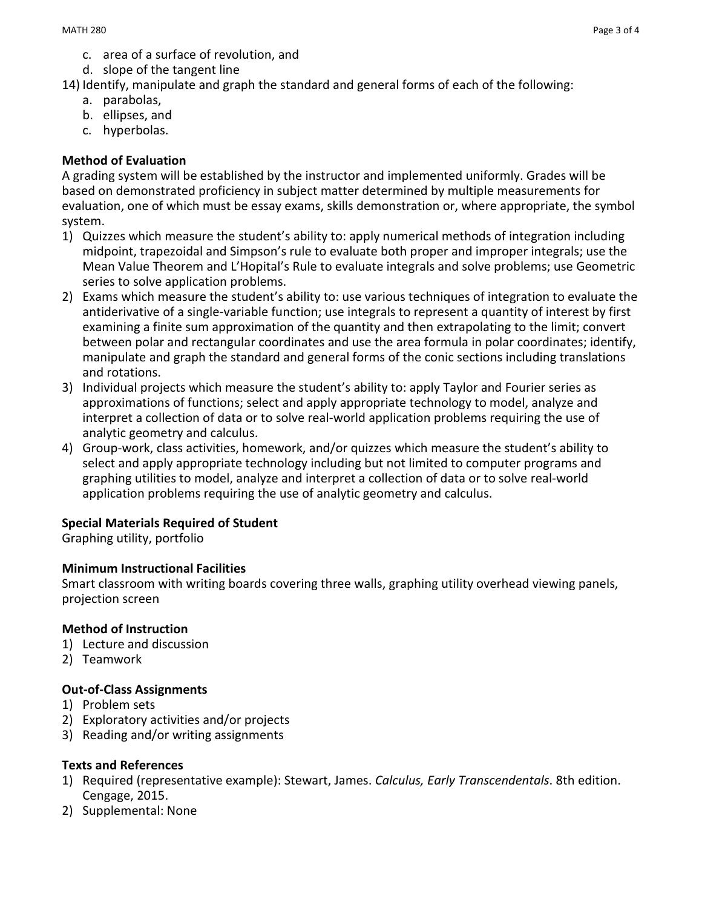- c. area of a surface of revolution, and
- d. slope of the tangent line
- 14) Identify, manipulate and graph the standard and general forms of each of the following:
	- a. parabolas,
	- b. ellipses, and
	- c. hyperbolas.

# **Method of Evaluation**

A grading system will be established by the instructor and implemented uniformly. Grades will be based on demonstrated proficiency in subject matter determined by multiple measurements for evaluation, one of which must be essay exams, skills demonstration or, where appropriate, the symbol system.

- 1) Quizzes which measure the student's ability to: apply numerical methods of integration including midpoint, trapezoidal and Simpson's rule to evaluate both proper and improper integrals; use the Mean Value Theorem and L'Hopital's Rule to evaluate integrals and solve problems; use Geometric series to solve application problems.
- 2) Exams which measure the student's ability to: use various techniques of integration to evaluate the antiderivative of a single-variable function; use integrals to represent a quantity of interest by first examining a finite sum approximation of the quantity and then extrapolating to the limit; convert between polar and rectangular coordinates and use the area formula in polar coordinates; identify, manipulate and graph the standard and general forms of the conic sections including translations and rotations.
- 3) Individual projects which measure the student's ability to: apply Taylor and Fourier series as approximations of functions; select and apply appropriate technology to model, analyze and interpret a collection of data or to solve real-world application problems requiring the use of analytic geometry and calculus.
- 4) Group-work, class activities, homework, and/or quizzes which measure the student's ability to select and apply appropriate technology including but not limited to computer programs and graphing utilities to model, analyze and interpret a collection of data or to solve real-world application problems requiring the use of analytic geometry and calculus.

## **Special Materials Required of Student**

Graphing utility, portfolio

## **Minimum Instructional Facilities**

Smart classroom with writing boards covering three walls, graphing utility overhead viewing panels, projection screen

## **Method of Instruction**

- 1) Lecture and discussion
- 2) Teamwork

## **Out-of-Class Assignments**

- 1) Problem sets
- 2) Exploratory activities and/or projects
- 3) Reading and/or writing assignments

## **Texts and References**

- 1) Required (representative example): Stewart, James. *Calculus, Early Transcendentals*. 8th edition. Cengage, 2015.
- 2) Supplemental: None